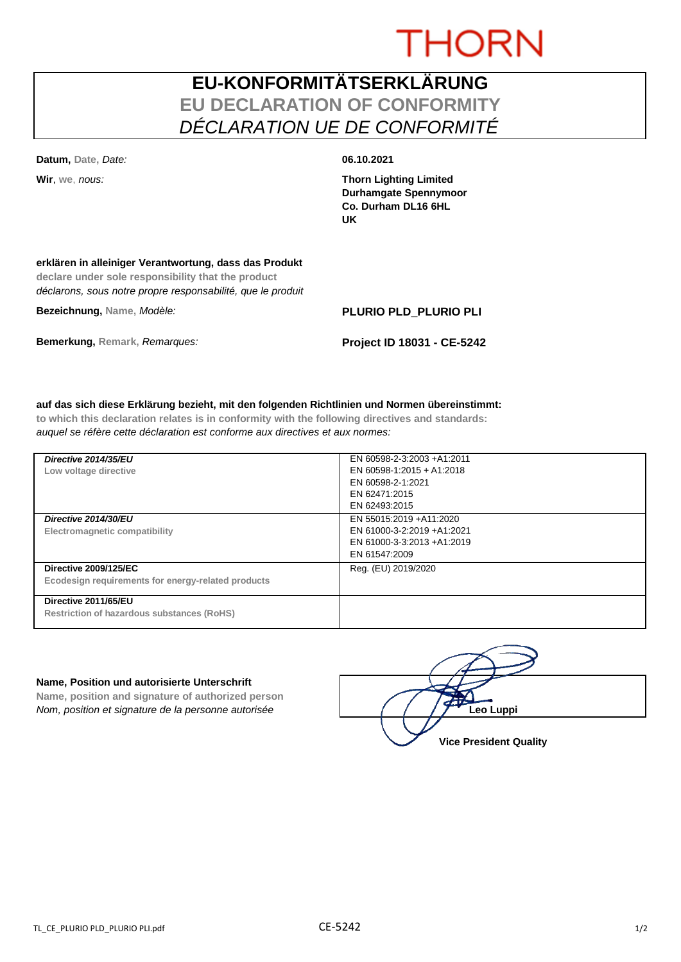# **THORN**

## **EU-KONFORMITÄTSERKLÄRUNG EU DECLARATION OF CONFORMITY** *DÉCLARATION UE DE CONFORMITÉ*

**Datum, Date,** *Date:* **06.10.2021**

**Wir**, **we**, *nous:* **Thorn Lighting Limited Durhamgate Spennymoor Co. Durham DL16 6HL UK**

### **erklären in alleiniger Verantwortung, dass das Produkt**

**declare under sole responsibility that the product** *déclarons, sous notre propre responsabilité, que le produit*

**Bezeichnung, Name,** *Modèle:* **PLURIO PLD\_PLURIO PLI**

**Bemerkung, Remark,** *Remarques:* **Project ID 18031 - CE-5242**

#### **auf das sich diese Erklärung bezieht, mit den folgenden Richtlinien und Normen übereinstimmt:**

**to which this declaration relates is in conformity with the following directives and standards:** *auquel se réfère cette déclaration est conforme aux directives et aux normes:*

| Directive 2014/35/EU<br>Low voltage directive                                      | EN 60598-2-3:2003 +A1:2011<br>EN 60598-1:2015 + A1:2018<br>EN 60598-2-1:2021<br>EN 62471:2015<br>EN 62493:2015 |
|------------------------------------------------------------------------------------|----------------------------------------------------------------------------------------------------------------|
| Directive 2014/30/EU<br>Electromagnetic compatibility                              | EN 55015:2019 +A11:2020<br>EN 61000-3-2:2019 +A1:2021<br>EN 61000-3-3:2013 +A1:2019<br>EN 61547:2009           |
| <b>Directive 2009/125/EC</b><br>Ecodesign requirements for energy-related products | Reg. (EU) 2019/2020                                                                                            |
| Directive 2011/65/EU<br><b>Restriction of hazardous substances (RoHS)</b>          |                                                                                                                |

#### **Name, Position und autorisierte Unterschrift**

**Name, position and signature of authorized person** *Nom, position et signature de la personne autorisée* 

| Leo Luppi                     |
|-------------------------------|
| <b>Vice President Quality</b> |